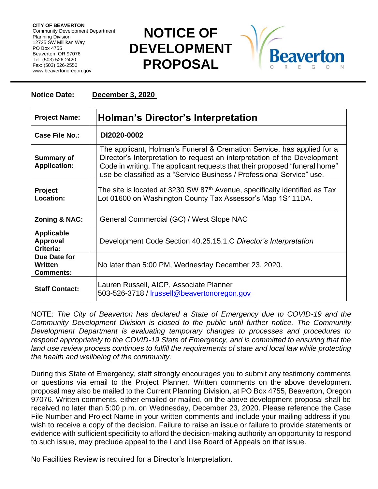**CITY OF BEAVERTON** Community Development Department Planning Division 12725 SW Millikan Way PO Box 4755 Beaverton, OR 97076 Tel: (503) 526-2420 Fax: (503) 526-2550 www.beavertonoregon.gov

## **NOTICE OF DEVELOPMENT PROPOSAL**



## **Notice Date: December 3, 2020**

| <b>Project Name:</b>                              | <b>Holman's Director's Interpretation</b>                                                                                                                                                                                                                                                                  |
|---------------------------------------------------|------------------------------------------------------------------------------------------------------------------------------------------------------------------------------------------------------------------------------------------------------------------------------------------------------------|
| Case File No.:                                    | DI2020-0002                                                                                                                                                                                                                                                                                                |
| <b>Summary of</b><br><b>Application:</b>          | The applicant, Holman's Funeral & Cremation Service, has applied for a<br>Director's Interpretation to request an interpretation of the Development<br>Code in writing. The applicant requests that their proposed "funeral home"<br>use be classified as a "Service Business / Professional Service" use. |
| <b>Project</b><br>Location:                       | The site is located at 3230 SW 87 <sup>th</sup> Avenue, specifically identified as Tax<br>Lot 01600 on Washington County Tax Assessor's Map 1S111DA.                                                                                                                                                       |
| Zoning & NAC:                                     | General Commercial (GC) / West Slope NAC                                                                                                                                                                                                                                                                   |
| <b>Applicable</b><br><b>Approval</b><br>Criteria: | Development Code Section 40.25.15.1.C Director's Interpretation                                                                                                                                                                                                                                            |
| Due Date for<br>Written<br><b>Comments:</b>       | No later than 5:00 PM, Wednesday December 23, 2020.                                                                                                                                                                                                                                                        |
| <b>Staff Contact:</b>                             | Lauren Russell, AICP, Associate Planner<br>503-526-3718 / Irussell@beavertonoregon.gov                                                                                                                                                                                                                     |

NOTE: *The City of Beaverton has declared a State of Emergency due to COVID-19 and the Community Development Division is closed to the public until further notice. The Community Development Department is evaluating temporary changes to processes and procedures to respond appropriately to the COVID-19 State of Emergency, and is committed to ensuring that the*  land use review process continues to fulfill the requirements of state and local law while protecting *the health and wellbeing of the community.*

During this State of Emergency, staff strongly encourages you to submit any testimony comments or questions via email to the Project Planner. Written comments on the above development proposal may also be mailed to the Current Planning Division, at PO Box 4755, Beaverton, Oregon 97076. Written comments, either emailed or mailed, on the above development proposal shall be received no later than 5:00 p.m. on Wednesday, December 23, 2020. Please reference the Case File Number and Project Name in your written comments and include your mailing address if you wish to receive a copy of the decision. Failure to raise an issue or failure to provide statements or evidence with sufficient specificity to afford the decision-making authority an opportunity to respond to such issue, may preclude appeal to the Land Use Board of Appeals on that issue.

No Facilities Review is required for a Director's Interpretation.